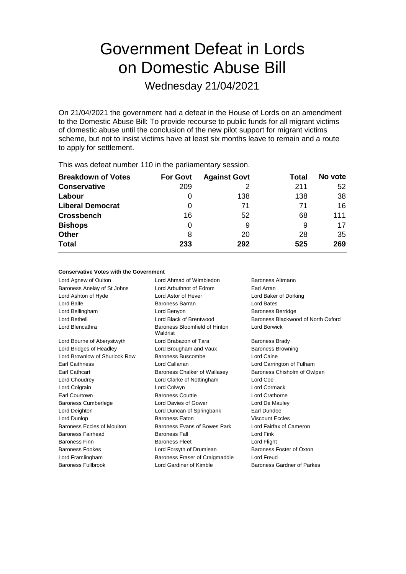# Government Defeat in Lords on Domestic Abuse Bill

Wednesday 21/04/2021

On 21/04/2021 the government had a defeat in the House of Lords on an amendment to the Domestic Abuse Bill: To provide recourse to public funds for all migrant victims of domestic abuse until the conclusion of the new pilot support for migrant victims scheme, but not to insist victims have at least six months leave to remain and a route to apply for settlement.

| This mas asteathannest the interest parnamentary ecosionic |                 |                     |       |         |  |
|------------------------------------------------------------|-----------------|---------------------|-------|---------|--|
| <b>Breakdown of Votes</b>                                  | <b>For Govt</b> | <b>Against Govt</b> | Total | No vote |  |
| <b>Conservative</b>                                        | 209             |                     | 211   | 52      |  |
| Labour                                                     |                 | 138                 | 138   | 38      |  |
| <b>Liberal Democrat</b>                                    | 0               | 71                  | 71    | 16      |  |
| <b>Crossbench</b>                                          | 16              | 52                  | 68    | 111     |  |
| <b>Bishops</b>                                             | 0               | 9                   | 9     | 17      |  |
| <b>Other</b>                                               | 8               | 20                  | 28    | 35      |  |
| <b>Total</b>                                               | 233             | 292                 | 525   | 269     |  |
|                                                            |                 |                     |       |         |  |

This was defeat number 110 in the parliamentary session.

## **Conservative Votes with the Government**

Lord Agnew of Oulton **Lord Ahmad of Wimbledon** Baroness Altmann Baroness Anelay of St Johns Lord Arbuthnot of Edrom Earl Arran Lord Ashton of Hyde Lord Astor of Hever Lord Baker of Dorking Lord Balfe **Baroness Barran** Baroness Barran Lord Bates Lord Bellingham Lord Benyon Baroness Berridge Lord Bethell Lord Black of Brentwood Baroness Blackwood of North Oxford Lord Blencathra **Baroness** Bloomfield of Hinton Waldrist Lord Borwick Lord Bourne of Aberystwyth Lord Brabazon of Tara Baroness Brady Lord Bridges of Headley **Lord Brougham and Vaux** Baroness Browning Lord Brownlow of Shurlock Row Baroness Buscombe Lord Caine Earl Caithness Lord Callanan Lord Carrington of Fulham Earl Cathcart **Baroness Chalker of Wallasey** Baroness Chisholm of Owlpen Lord Choudrey Lord Clarke of Nottingham Lord Coe Lord Colgrain Lord Colwyn Lord Cormack Earl Courtown Baroness Couttie Lord Crathorne Baroness Cumberlege Lord Davies of Gower Lord De Mauley Lord Deighton **Lord Duncan of Springbank** Earl Dundee Lord Dunlop Baroness Eaton Viscount Eccles Baroness Eccles of Moulton Baroness Evans of Bowes Park Lord Fairfax of Cameron Baroness Fairhead **Baroness Fall** Baroness Fall **Lord Fink** Baroness Finn **Baroness Fleet** Lord Flight Baroness Fookes **Lord Forsyth of Drumlean** Baroness Foster of Oxton Lord Framlingham Baroness Fraser of Craigmaddie Lord Freud Baroness Fullbrook **Lord Gardiner of Kimble** Baroness Gardner of Parkes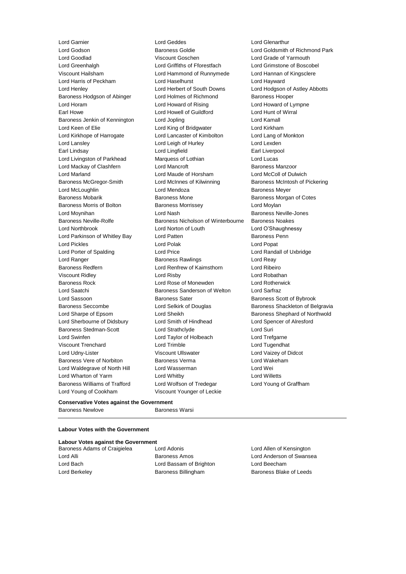Lord Godson Baroness Goldie Lord Goldsmith of Richmond Park Lord Goodlad Viscount Goschen Lord Grade of Yarmouth Lord Greenhalgh Lord Griffiths of Fforestfach Lord Grimstone of Boscobel Viscount Hailsham Lord Hammond of Runnymede Lord Hannan of Kingsclere Lord Harris of Peckham **Lord Haselhurst** Lord Hayward Lord Henley Lord Herbert of South Downs Lord Hodgson of Astley Abbotts Baroness Hodgson of Abinger Lord Holmes of Richmond Baroness Hooper Lord Horam Lord Howard of Rising Lord Howard of Lympne Earl Howe Lord Howell of Guildford Lord Hunt of Wirral Baroness Jenkin of Kennington Lord Jopling Lord Kamall Lord Kamall Lord Keen of Elie **Lord King of Bridgwater** Lord Kirkham Lord Kirkhope of Harrogate Lord Lancaster of Kimbolton Lord Lang of Monkton Lord Lansley Lord Leigh of Hurley Lord Lexden Earl Lindsay **Lord Lingfield** Earl Liverpool Lord Lingfield Earl Liverpool Lord Livingston of Parkhead Marquess of Lothian Lord Lucas Lord Mackay of Clashfern **Lord Mancroft Baroness Manzoor** Baroness Manzoor Lord Marland Lord Maude of Horsham Lord McColl of Dulwich Baroness McGregor-Smith Lord McInnes of Kilwinning Baroness McIntosh of Pickering Lord McLoughlin Lord Mendoza Baroness Meyer Baroness Mobarik **Baroness Mone Baroness Mone** Baroness Morgan of Cotes Baroness Morris of Bolton Baroness Morrissey Carolic Lord Moylan Lord Moynihan Lord Nash Baroness Neville-Jones Baroness Neville-Rolfe Baroness Nicholson of Winterbourne Baroness Noakes Lord Northbrook Lord Norton of Louth Lord O'Shaughnessy Lord Parkinson of Whitley Bay **Lord Patten** Baroness Penn Lord Pickles Lord Polak Lord Popat Lord Porter of Spalding Lord Price Lord Randall of Uxbridge Lord Ranger **Baroness Rawlings** Lord Reay Ranger **Lord Reay** Baroness Redfern Lord Renfrew of Kaimsthorn Lord Ribeiro Viscount Ridley Lord Risby Lord Robathan Baroness Rock Lord Rose of Monewden Lord Rotherwick Lord Saatchi **Baroness Sanderson of Welton** Lord Sarfraz Lord Sassoon **Baroness Sater** Baroness Scott of Bybrook Baroness Seccombe **Lord Selkirk of Douglas** Baroness Shackleton of Belgravia Lord Sharpe of Epsom Cord Sheikh Baroness Shephard of Northwold Lord Sherbourne of Didsbury Lord Smith of Hindhead Lord Spencer of Alresford Baroness Stedman-Scott Lord Strathclyde Lord Suri Lord Swinfen **Lord Taylor of Holbeach** Lord Trefgarne Viscount Trenchard Lord Trimble Lord Tugendhat Lord Udny-Lister Viscount Ullswater Lord Vaizey of Didcot Baroness Vere of Norbiton **Baroness Verma** Lord Wakeham Lord Waldegrave of North Hill Lord Wasserman Lord Wei Lord Wharton of Yarm Lord Whitby Lord Willetts Baroness Williams of Trafford Lord Wolfson of Tredegar Lord Young of Graffham Lord Young of Cookham Viscount Younger of Leckie

Lord Garnier Lord Geddes Lord Glenarthur

### **Conservative Votes against the Government** Baroness Newlove **Baroness Warsi**

### **Labour Votes with the Government**

# **Labour Votes against the Government**

Lord Bach Lord Bassam of Brighton Lord Beecham Lord Berkeley **Baroness Billingham** Baroness Blake of Leeds

Baroness Adams of Craigielea Lord Adonis Lord Allen of Kensington Lord Alli **Baroness Amos** Lord Anderson of Swansea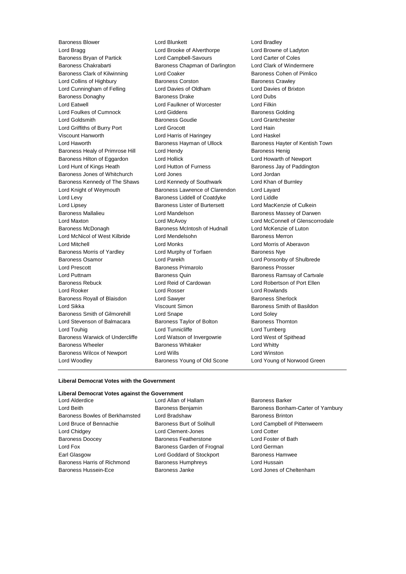**Baroness Blower Communist Contract Communist Lord Blunkett** Communist Contract Lord Bradley Lord Bragg Lord Brooke of Alverthorpe Lord Browne of Ladyton Baroness Bryan of Partick Lord Campbell-Savours Lord Carter of Coles Baroness Chakrabarti **Baroness Chapman of Darlington** Lord Clark of Windermere Baroness Clark of Kilwinning **Lord Coaker Communist Contains Containers** Cohen of Pimlico Lord Collins of Highbury **Baroness Corston** Baroness Crawley Lord Cunningham of Felling Lord Davies of Oldham Lord Davies of Brixton Baroness Donaghy Baroness Drake Lord Dubs Lord Eatwell Lord Faulkner of Worcester Lord Filkin Lord Foulkes of Cumnock Lord Giddens **Baroness Golding** Lord Goldsmith Baroness Goudie Lord Grantchester Lord Griffiths of Burry Port Lord Grocott Lord Hain Viscount Hanworth Lord Harris of Haringey Lord Haskel Lord Haworth **Baroness Hayman of Ullock** Baroness Hayter of Kentish Town Baroness Healy of Primrose Hill Lord Hendy **Baroness Henig** Baroness Henig Baroness Hilton of Eggardon Lord Hollick Lord Howarth of Newport Lord Hunt of Kings Heath Lord Hutton of Furness **Baroness Jay of Paddington** Baroness Jones of Whitchurch Lord Jones Lord Jordan Baroness Kennedy of The Shaws Lord Kennedy of Southwark Lord Khan of Burnley Lord Knight of Weymouth Baroness Lawrence of Clarendon Lord Layard Lord Levy Baroness Liddell of Coatdyke Lord Liddle Lord Lipsey Baroness Lister of Burtersett Lord MacKenzie of Culkein Baroness Mallalieu **Baroness Mallalieu** Lord Mandelson **Baroness Massey of Darwen** Lord Maxton Lord McAvoy Lord McConnell of Glenscorrodale Baroness McDonagh Baroness McIntosh of Hudnall Lord McKenzie of Luton Lord McNicol of West Kilbride Lord Mendelsohn **Baroness Merron** Lord Mitchell Lord Monks Lord Morris of Aberavon Baroness Morris of Yardley **Lord Murphy of Torfaen** Baroness Nye Baroness Osamor Lord Parekh Lord Ponsonby of Shulbrede Lord Prescott **Baroness Primarolo** Baroness Prosser Lord Puttnam Baroness Quin Baroness Ramsay of Cartvale Baroness Rebuck Lord Reid of Cardowan Lord Robertson of Port Ellen Lord Rooker Lord Rosser Lord Rowlands Baroness Royall of Blaisdon Lord Sawyer **Baroness Sherlock** Baroness Sherlock Lord Sikka **Viscount Simon Baroness Smith of Basildon Baroness Smith of Basildon** Baroness Smith of Gilmorehill Lord Snape Lord Soley Lord Stevenson of Balmacara Baroness Taylor of Bolton Baroness Thornton Lord Touhig Lord Tunnicliffe Lord Turnberg Baroness Warwick of Undercliffe Lord Watson of Invergowrie Lord West of Spithead Baroness Wheeler **Baroness Whitaker** Lord Whitty Baroness Wilcox of Newport Lord Wills Lord Winston Lord Woodley Baroness Young of Old Scone Lord Young of Norwood Green

### **Liberal Democrat Votes with the Government**

# **Liberal Democrat Votes against the Government**

Baroness Bowles of Berkhamsted Lord Bradshaw Baroness Brinton Lord Bruce of Bennachie **Baroness Burt of Solihull** Lord Campbell of Pittenweem Lord Chidgey Lord Clement-Jones Lord Cotter Baroness Doocey **Baroness Featherstone** Lord Foster of Bath Lord Fox **Baroness Garden of Frognal** Lord German Earl Glasgow **Lord Goddard of Stockport** Baroness Hamwee Baroness Harris of Richmond Baroness Humphreys Cord Hussain Baroness Hussein-Ece Baroness Janke Lord Jones of Cheltenham

Lord Alderdice Lord Allan of Hallam Baroness Barker

Lord Beith Baroness Benjamin Baroness Bonham-Carter of Yarnbury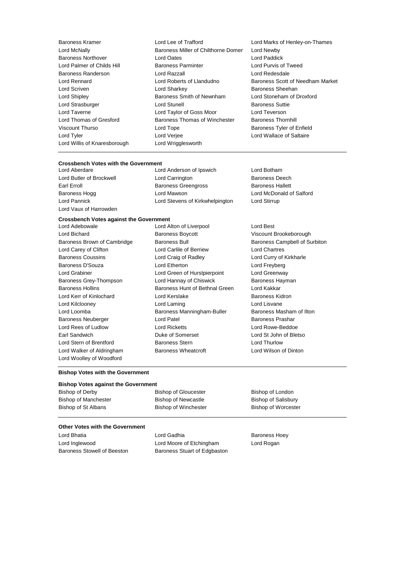Baroness Kramer Lord Lee of Trafford Lord Marks of Henley-on-Thames Lord McNally Baroness Miller of Chilthorne Domer Lord Newby Baroness Northover **Lord Oates** Lord Palmer of Childs Hill Baroness Parminter Lord Purvis of Tweed Baroness Randerson Lord Razzall Lord Redesdale Lord Rennard Lord Roberts of Llandudno Baroness Scott of Needham Market Lord Scriven Lord Sharkey Baroness Sheehan Lord Shipley **Baroness Smith of Newnham** Lord Stoneham of Droxford Lord Strasburger Lord Stunell Baroness Suttie Lord Taverne Lord Taylor of Goss Moor Lord Teverson Lord Thomas of Gresford Baroness Thomas of Winchester Baroness Thornhill Viscount Thurso Lord Tope Baroness Tyler of Enfield Lord Tyler Lord Verjee Lord Wallace of Saltaire Lord Willis of Knaresborough Lord Wrigglesworth

# **Crossbench Votes with the Government**

Lord Vaux of Harrowden

Lord Anderson of Ipswich Lord Botham Lord Butler of Brockwell Lord Carrington Baroness Deech Earl Erroll **Example 3 Exercise Baroness Greengross** Baroness Hallett Baroness Hogg North Lord Mawson News Lord McDonald of Salford Lord Pannick Lord Stevens of Kirkwhelpington Lord Stirrup

# **Crossbench Votes against the Government**

Lord Bichard **Baroness Boycott** Cord Bichard Cord Bichard Cord Bichard Brookeborough<br>Baroness Brown of Cambridge Baroness Bull Baroness Campbell of Su Lord Carey of Clifton Lord Carlile of Berriew Lord Chartres Baroness Coussins Lord Craig of Radley Lord Curry of Kirkharle Baroness D'Souza **Lord Etherton** Lord Etherton Lord Freyberg Lord Grabiner Lord Green of Hurstpierpoint Lord Greenway Baroness Grey-Thompson Lord Hannay of Chiswick Baroness Hayman Baroness Hollins **Baroness Hunt of Bethnal Green** Lord Kakkar Lord Kerr of Kinlochard Lord Kerslake Baroness Kidron Lord Kilclooney Lord Laming Lord Lisvane Lord Loomba **Baroness Manningham-Buller** Baroness Masham of Ilton Baroness Neuberger **Lord Patel Community** Lord Patel Baroness Prashar Lord Rees of Ludlow Lord Ricketts Lord Rowe-Beddoe Earl Sandwich Duke of Somerset Lord St John of Bletso Lord Stern of Brentford Baroness Stern Lord Thurlow Lord Walker of Aldringham Baroness Wheatcroft Lord Wilson of Dinton Lord Woolley of Woodford

Baroness Bull Baroness Campbell of Surbiton

Lord Alton of Liverpool Lord Best

#### **Bishop Votes with the Government**

### **Bishop Votes against the Government**

| Bishop of Derby      | <b>Bishop of Gloucester</b> | Bishop of London    |
|----------------------|-----------------------------|---------------------|
| Bishop of Manchester | Bishop of Newcastle         | Bishop of Salisbury |
| Bishop of St Albans  | <b>Bishop of Winchester</b> | Bishop of Worcester |

### **Other Votes with the Government**

Lord Bhatia **Communist Communist Lord Gadhia** Baroness Hoey Lord Inglewood Lord Moore of Etchingham Lord Rogan

Baroness Stowell of Beeston Baroness Stuart of Edgbaston